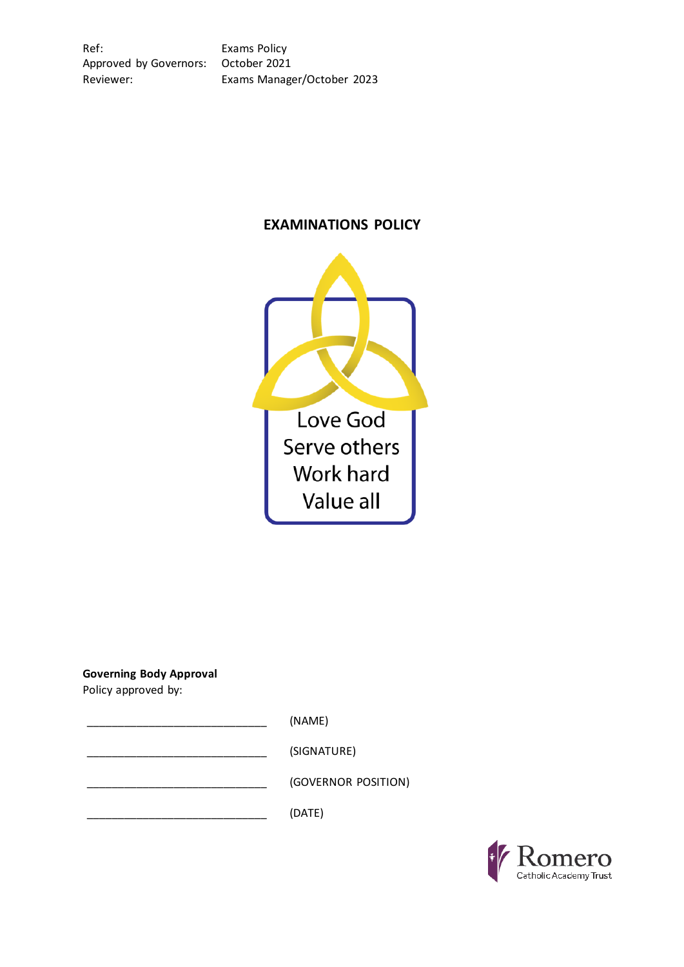Ref: Exams Policy Approved by Governors: October 2021

Reviewer: Exams Manager/October 2023

# **EXAMINATIONS POLICY**



**Governing Body Approval**

Policy approved by:

\_\_\_\_\_\_\_\_\_\_\_\_\_\_\_\_\_\_\_\_\_\_\_\_\_\_\_\_\_ (NAME)

\_\_\_\_\_\_\_\_\_\_\_\_\_\_\_\_\_\_\_\_\_\_\_\_\_\_\_\_\_ (SIGNATURE)

\_\_\_\_\_\_\_\_\_\_\_\_\_\_\_\_\_\_\_\_\_\_\_\_\_\_\_\_\_ (GOVERNOR POSITION)

 $(DATE)$ 

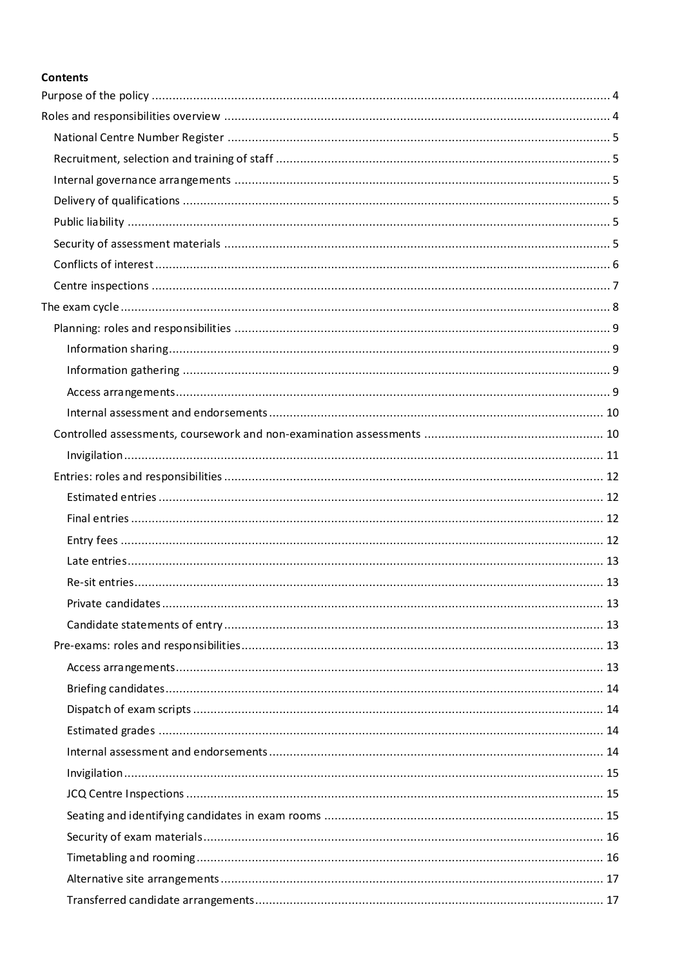## **Contents**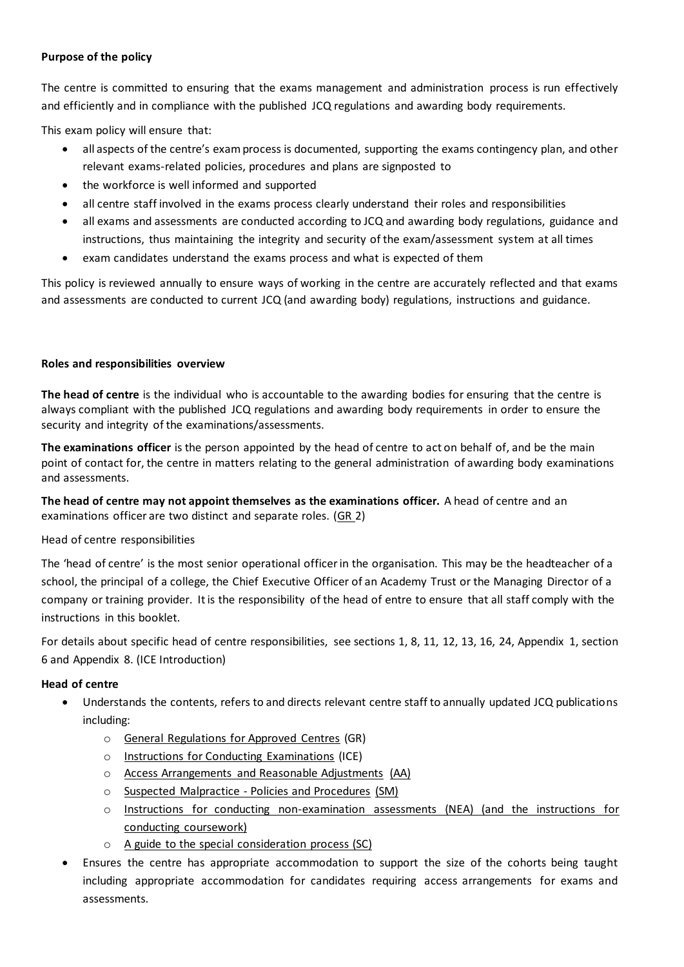## <span id="page-3-0"></span>**Purpose of the policy**

The centre is committed to ensuring that the exams management and administration process is run effectively and efficiently and in compliance with the published JCQ regulations and awarding body requirements.

This exam policy will ensure that:

- all aspects of the centre's exam process is documented, supporting the exams contingency plan, and other relevant exams-related policies, procedures and plans are signposted to
- the workforce is well informed and supported
- all centre staff involved in the exams process clearly understand their roles and responsibilities
- all exams and assessments are conducted according to JCQ and awarding body regulations, guidance and instructions, thus maintaining the integrity and security of the exam/assessment system at all times
- exam candidates understand the exams process and what is expected of them

<span id="page-3-1"></span>This policy is reviewed annually to ensure ways of working in the centre are accurately reflected and that exams and assessments are conducted to current JCQ (and awarding body) regulations, instructions and guidance.

## **Roles and responsibilities overview**

**The head of centre** is the individual who is accountable to the awarding bodies for ensuring that the centre is always compliant with the published JCQ regulations and awarding body requirements in order to ensure the security and integrity of the examinations/assessments.

**The examinations officer** is the person appointed by the head of centre to act on behalf of, and be the main point of contact for, the centre in matters relating to the general administration of awarding body examinations and assessments.

**The head of centre may not appoint themselves as the examinations officer.** A head of centre and an examinations officer are two distinct and separate roles. [\(GR](http://www.jcq.org.uk/exams-office/general-regulations)\_2)

Head of centre responsibilities

The 'head of centre' is the most senior operational officer in the organisation. This may be the headteacher of a school, the principal of a college, the Chief Executive Officer of an Academy Trust or the Managing Director of a company or training provider. It is the responsibility of the head of entre to ensure that all staff comply with the instructions in this booklet.

For details about specific head of centre responsibilities, see sections 1, 8, 11, 12, 13, 16, 24, Appendix 1, section 6 and Appendix 8. [\(ICE](http://www.jcq.org.uk/exams-office/ice---instructions-for-conducting-examinations) Introduction)

## **Head of centre**

- Understands the contents, refers to and directs relevant centre staff to annually updated JCQ publications including:
	- o [General Regulations for Approved Centres](http://www.jcq.org.uk/exams-office/general-regulations) (GR)
	- o [Instructions for Conducting Examinations](http://www.jcq.org.uk/exams-office/ice---instructions-for-conducting-examinations) (ICE)
	- o [Access Arrangements and Reasonable Adjustments](http://www.jcq.org.uk/exams-office/access-arrangements-and-special-consideration/regulations-and-guidance) (AA)
	- o [Suspected Malpractice -](http://www.jcq.org.uk/exams-office/malpractice) Policies and Procedures (SM)
	- o [Instructions for conducting non-examination assessments](http://www.jcq.org.uk/exams-office/non-examination-assessments) (NEA) (and the instructions for conducting coursework)
	- o [A guide to the special consideration process](http://www.jcq.org.uk/exams-office/access-arrangements-and-special-consideration/regulations-and-guidance) (SC)
- Ensures the centre has appropriate accommodation to support the size of the cohorts being taught including appropriate accommodation for candidates requiring access arrangements for exams and assessments.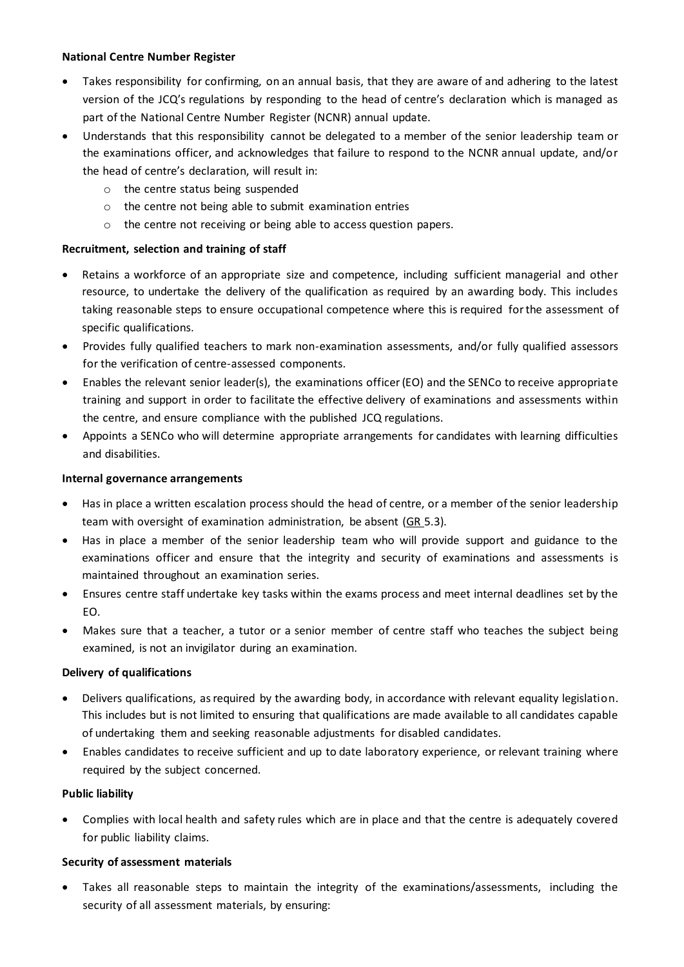## <span id="page-4-0"></span>**National Centre Number Register**

- Takes responsibility for confirming, on an annual basis, that they are aware of and adhering to the latest version of the JCQ's regulations by responding to the head of centre's declaration which is managed as part of the National Centre Number Register (NCNR) annual update.
- Understands that this responsibility cannot be delegated to a member of the senior leadership team or the examinations officer, and acknowledges that failure to respond to the NCNR annual update, and/or the head of centre's declaration, will result in:
	- o the centre status being suspended
	- o the centre not being able to submit examination entries
	- o the centre not receiving or being able to access question papers.

## <span id="page-4-1"></span>**Recruitment, selection and training of staff**

- Retains a workforce of an appropriate size and competence, including sufficient managerial and other resource, to undertake the delivery of the qualification as required by an awarding body. This includes taking reasonable steps to ensure occupational competence where this is required for the assessment of specific qualifications.
- Provides fully qualified teachers to mark non-examination assessments, and/or fully qualified assessors for the verification of centre-assessed components.
- Enables the relevant senior leader(s), the examinations officer (EO) and the SENCo to receive appropriate training and support in order to facilitate the effective delivery of examinations and assessments within the centre, and ensure compliance with the published JCQ regulations.
- Appoints a SENCo who will determine appropriate arrangements for candidates with learning difficulties and disabilities.

## <span id="page-4-2"></span>**Internal governance arrangements**

- Has in place a written escalation process should the head of centre, or a member of the senior leadership team with oversight of examination administration, be absent [\(GR](http://www.jcq.org.uk/exams-office/general-regulations) 5.3).
- Has in place a member of the senior leadership team who will provide support and guidance to the examinations officer and ensure that the integrity and security of examinations and assessments is maintained throughout an examination series.
- Ensures centre staff undertake key tasks within the exams process and meet internal deadlines set by the EO.
- Makes sure that a teacher, a tutor or a senior member of centre staff who teaches the subject being examined, is not an invigilator during an examination.

## <span id="page-4-3"></span>**Delivery of qualifications**

- Delivers qualifications, as required by the awarding body, in accordance with relevant equality legislation. This includes but is not limited to ensuring that qualifications are made available to all candidates capable of undertaking them and seeking reasonable adjustments for disabled candidates.
- Enables candidates to receive sufficient and up to date laboratory experience, or relevant training where required by the subject concerned.

## <span id="page-4-4"></span>**Public liability**

• Complies with local health and safety rules which are in place and that the centre is adequately covered for public liability claims.

## <span id="page-4-5"></span>**Security of assessment materials**

Takes all reasonable steps to maintain the integrity of the examinations/assessments, including the security of all assessment materials, by ensuring: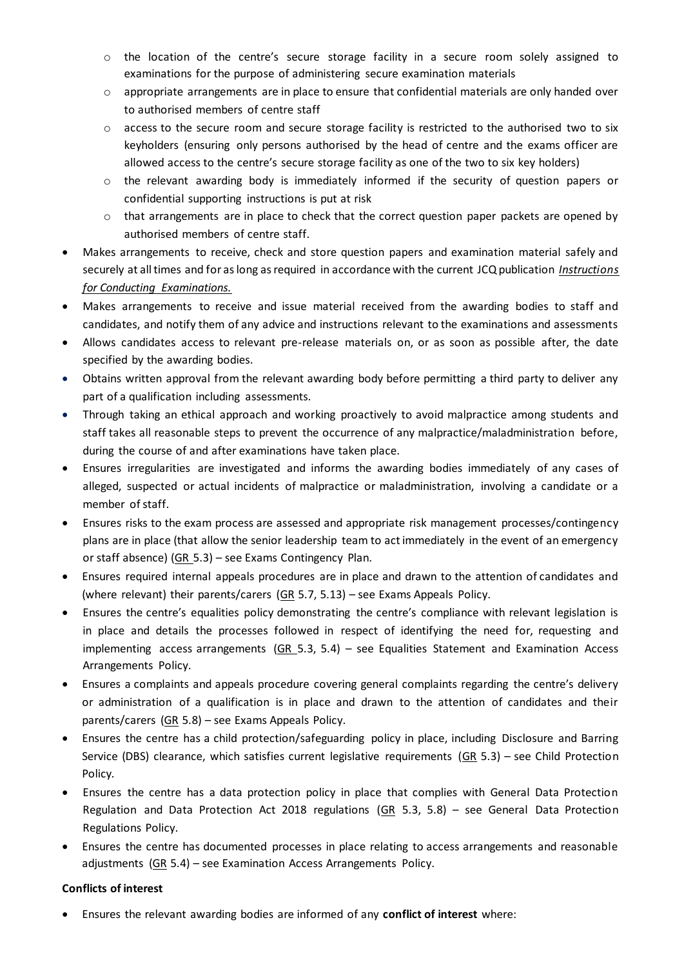- $\circ$  the location of the centre's secure storage facility in a secure room solely assigned to examinations for the purpose of administering secure examination materials
- $\circ$  appropriate arrangements are in place to ensure that confidential materials are only handed over to authorised members of centre staff
- $\circ$  access to the secure room and secure storage facility is restricted to the authorised two to six keyholders (ensuring only persons authorised by the head of centre and the exams officer are allowed access to the centre's secure storage facility as one of the two to six key holders)
- o the relevant awarding body is immediately informed if the security of question papers or confidential supporting instructions is put at risk
- o that arrangements are in place to check that the correct question paper packets are opened by authorised members of centre staff.
- Makes arrangements to receive, check and store question papers and examination material safely and securely at all times and for as long as required in accordance with the current JCQ publication *Instructions for Conducting Examinations.*
- Makes arrangements to receive and issue material received from the awarding bodies to staff and candidates, and notify them of any advice and instructions relevant to the examinations and assessments
- Allows candidates access to relevant pre-release materials on, or as soon as possible after, the date specified by the awarding bodies.
- Obtains written approval from the relevant awarding body before permitting a third party to deliver any part of a qualification including assessments.
- Through taking an ethical approach and working proactively to avoid malpractice among students and staff takes all reasonable steps to prevent the occurrence of any malpractice/maladministration before, during the course of and after examinations have taken place.
- Ensures irregularities are investigated and informs the awarding bodies immediately of any cases of alleged, suspected or actual incidents of malpractice or maladministration, involving a candidate or a member of staff.
- Ensures risks to the exam process are assessed and appropriate risk management processes/contingency plans are in place (that allow the senior leadership team to act immediately in the event of an emergency or staff absence) [\(GR](http://www.jcq.org.uk/exams-office/general-regulations)\_5.3) – see Exams Contingency Plan.
- Ensures required internal appeals procedures are in place and drawn to the attention of candidates and (where relevant) their parents/carers (GR 5.7, 5.13) – see Exams Appeals Policy.
- Ensures the centre's equalities policy demonstrating the centre's compliance with relevant legislation is in place and details the processes followed in respect of identifying the need for, requesting and implementing access arrangements  $(GR_5.3, 5.4)$  $(GR_5.3, 5.4)$  – see Equalities Statement and Examination Access Arrangements Policy.
- Ensures a complaints and appeals procedure covering general complaints regarding the centre's delivery or administration of a qualification is in place and drawn to the attention of candidates and their parents/carers  $(GR 5.8)$  $(GR 5.8)$  – see Exams Appeals Policy.
- Ensures the centre has a child protection/safeguarding policy in place, including Disclosure and Barring Service (DBS) clearance, which satisfies current legislative requirements ( $GR\ 5.3$ ) – see Child Protection Policy*.*
- Ensures the centre has a data protection policy in place that complies with General Data Protection Regulation and Data Protection Act 2018 regulations [\(GR](http://www.jcq.org.uk/exams-office/general-regulations) 5.3, 5.8) – see General Data Protection Regulations Policy.
- Ensures the centre has documented processes in place relating to access arrangements and reasonable adjustments  $(GR 5.4)$  $(GR 5.4)$  – see Examination Access Arrangements Policy.

## <span id="page-5-0"></span>**Conflicts of interest**

• Ensures the relevant awarding bodies are informed of any **conflict of interest** where: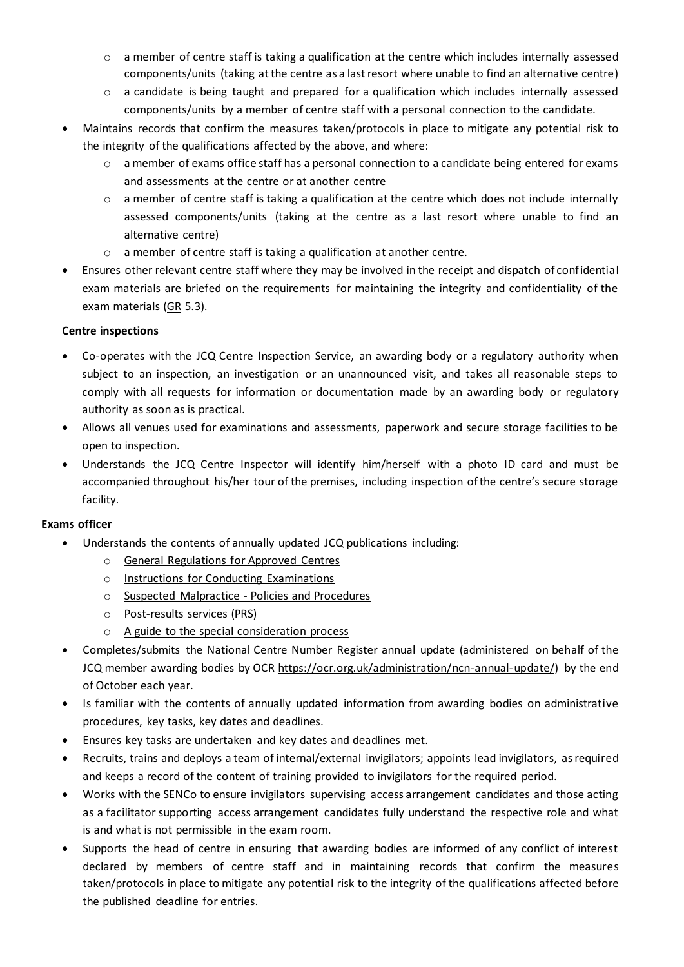- $\circ$  a member of centre staff is taking a qualification at the centre which includes internally assessed components/units (taking at the centre as a last resort where unable to find an alternative centre)
- $\circ$  a candidate is being taught and prepared for a qualification which includes internally assessed components/units by a member of centre staff with a personal connection to the candidate.
- Maintains records that confirm the measures taken/protocols in place to mitigate any potential risk to the integrity of the qualifications affected by the above, and where:
	- $\circ$  a member of exams office staff has a personal connection to a candidate being entered for exams and assessments at the centre or at another centre
	- o a member of centre staff is taking a qualification at the centre which does not include internally assessed components/units (taking at the centre as a last resort where unable to find an alternative centre)
	- o a member of centre staff is taking a qualification at another centre.
- Ensures other relevant centre staff where they may be involved in the receipt and dispatch of confidential exam materials are briefed on the requirements for maintaining the integrity and confidentiality of the exam materials [\(GR](http://www.jcq.org.uk/exams-office/general-regulations) 5.3).

## <span id="page-6-0"></span>**Centre inspections**

- Co-operates with the JCQ Centre Inspection Service, an awarding body or a regulatory authority when subject to an inspection, an investigation or an unannounced visit, and takes all reasonable steps to comply with all requests for information or documentation made by an awarding body or regulatory authority as soon as is practical.
- Allows all venues used for examinations and assessments, paperwork and secure storage facilities to be open to inspection.
- Understands the JCQ Centre Inspector will identify him/herself with a photo ID card and must be accompanied throughout his/her tour of the premises, including inspection of the centre's secure storage facility.

- Understands the contents of annually updated JCQ publications including:
	- o [General Regulations for Approved Centres](http://www.jcq.org.uk/exams-office/general-regulations)
	- o [Instructions for Conducting Examinations](http://www.jcq.org.uk/exams-office/ice---instructions-for-conducting-examinations)
	- o [Suspected Malpractice -](http://www.jcq.org.uk/exams-office/malpractice) Policies and Procedures
	- o [Post-results services](http://www.jcq.org.uk/exams-office/post-results-services) (PRS)
	- o [A guide to the special consideration process](https://www.jcq.org.uk/exams-office/access-arrangements-and-special-consideration/regulations-and-guidance/)
- Completes/submits the National Centre Number Register annual update (administered on behalf of the JCQ member awarding bodies by OCR [https://ocr.org.uk/administration/ncn-annual-update/\)](https://ocr.org.uk/administration/ncn-annual-update/) by the end of October each year.
- Is familiar with the contents of annually updated information from awarding bodies on administrative procedures, key tasks, key dates and deadlines.
- Ensures key tasks are undertaken and key dates and deadlines met.
- Recruits, trains and deploys a team of internal/external invigilators; appoints lead invigilators, as required and keeps a record of the content of training provided to invigilators for the required period.
- Works with the SENCo to ensure invigilators supervising access arrangement candidates and those acting as a facilitator supporting access arrangement candidates fully understand the respective role and what is and what is not permissible in the exam room.
- Supports the head of centre in ensuring that awarding bodies are informed of any conflict of interest declared by members of centre staff and in maintaining records that confirm the measures taken/protocols in place to mitigate any potential risk to the integrity of the qualifications affected before the published deadline for entries.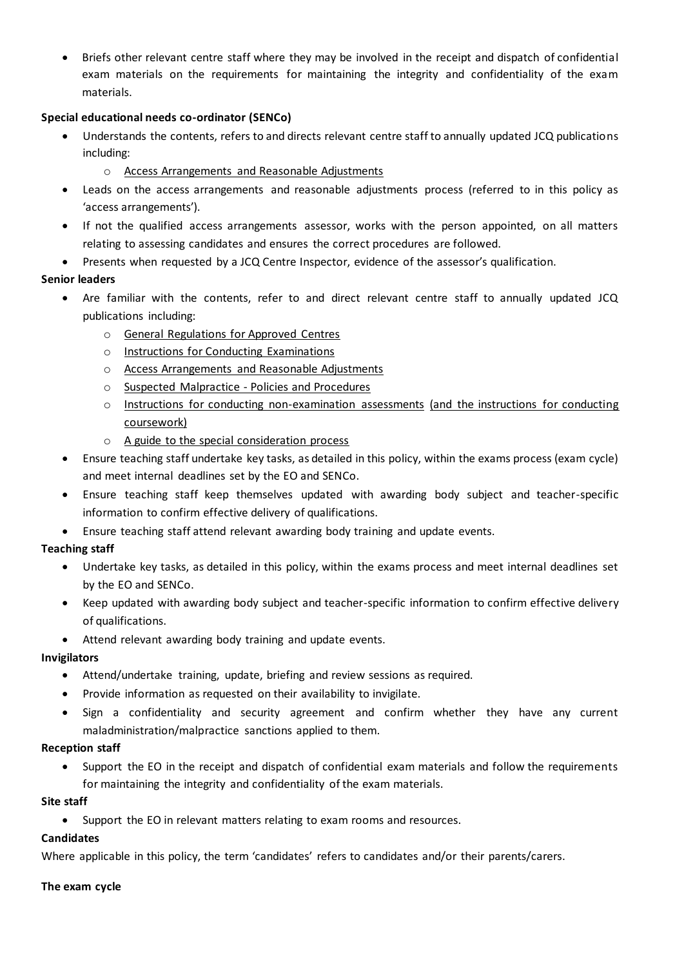• Briefs other relevant centre staff where they may be involved in the receipt and dispatch of confidential exam materials on the requirements for maintaining the integrity and confidentiality of the exam materials.

## **Special educational needs co-ordinator (SENCo)**

- Understands the contents, refers to and directs relevant centre staff to annually updated JCQ publications including:
	- o [Access Arrangements and Reasonable Adjustments](http://www.jcq.org.uk/exams-office/access-arrangements-and-special-consideration/regulations-and-guidance)
- Leads on the access arrangements and reasonable adjustments process (referred to in this policy as 'access arrangements').
- If not the qualified access arrangements assessor, works with the person appointed, on all matters relating to assessing candidates and ensures the correct procedures are followed.
- Presents when requested by a JCQ Centre Inspector, evidence of the assessor's qualification.

## **Senior leaders**

- Are familiar with the contents, refer to and direct relevant centre staff to annually updated JCQ publications including:
	- o [General Regulations for Approved Centres](http://www.jcq.org.uk/exams-office/general-regulations)
	- o [Instructions for Conducting Examinations](http://www.jcq.org.uk/exams-office/ice---instructions-for-conducting-examinations)
	- o [Access Arrangements and Reasonable Adjustments](http://www.jcq.org.uk/exams-office/access-arrangements-and-special-consideration/regulations-and-guidance)
	- o [Suspected Malpractice -](http://www.jcq.org.uk/exams-office/malpractice) Policies and Procedures
	- o [Instructions for conducting non-examination assessments](http://www.jcq.org.uk/exams-office/non-examination-assessments) (and the instructions for conducting coursework)
	- o [A guide to the special consideration process](http://www.jcq.org.uk/exams-office/access-arrangements-and-special-consideration/regulations-and-guidance)
- Ensure teaching staff undertake key tasks, as detailed in this policy, within the exams process (exam cycle) and meet internal deadlines set by the EO and SENCo.
- Ensure teaching staff keep themselves updated with awarding body subject and teacher-specific information to confirm effective delivery of qualifications.
- Ensure teaching staff attend relevant awarding body training and update events.

## **Teaching staff**

- Undertake key tasks, as detailed in this policy, within the exams process and meet internal deadlines set by the EO and SENCo.
- Keep updated with awarding body subject and teacher-specific information to confirm effective delivery of qualifications.
- Attend relevant awarding body training and update events.

## **Invigilators**

- Attend/undertake training, update, briefing and review sessions as required.
- Provide information as requested on their availability to invigilate.
- Sign a confidentiality and security agreement and confirm whether they have any current maladministration/malpractice sanctions applied to them.

## **Reception staff**

• Support the EO in the receipt and dispatch of confidential exam materials and follow the requirements for maintaining the integrity and confidentiality of the exam materials.

## **Site staff**

• Support the EO in relevant matters relating to exam rooms and resources.

# **Candidates**

Where applicable in this policy, the term 'candidates' refers to candidates and/or their parents/carers.

## <span id="page-7-0"></span>**The exam cycle**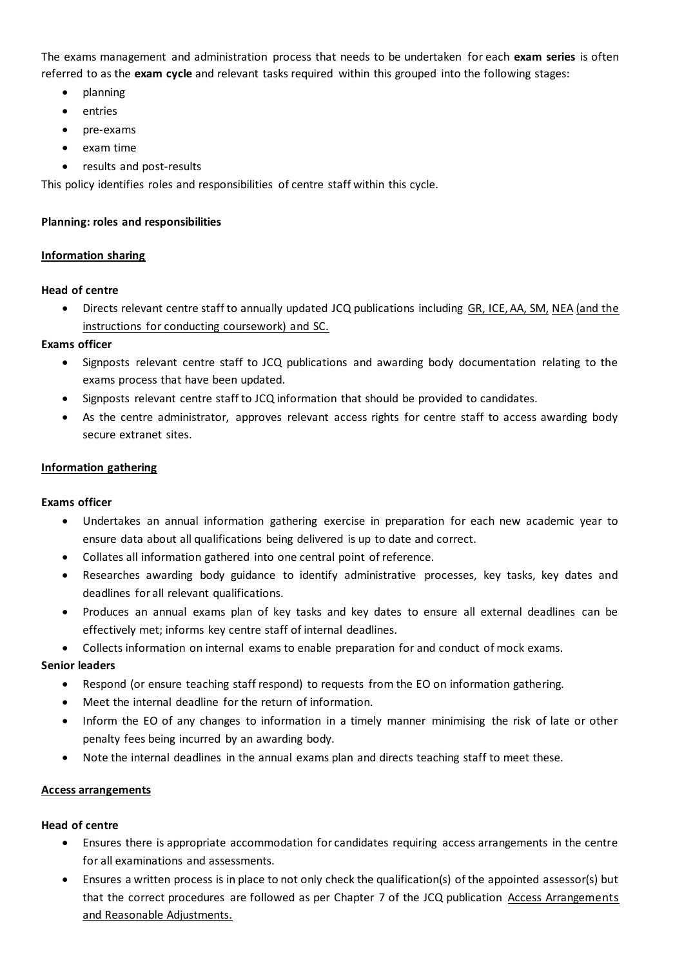The exams management and administration process that needs to be undertaken for each **exam series** is often referred to as the **exam cycle** and relevant tasks required within this grouped into the following stages:

- planning
- entries
- pre-exams
- exam time
- results and post-results

<span id="page-8-0"></span>This policy identifies roles and responsibilities of centre staff within this cycle.

## **Planning: roles and responsibilities**

## <span id="page-8-1"></span>**Information sharing**

## **Head of centre**

• Directs relevant centre staff to annually updated JCQ publications including [GR,](http://www.jcq.org.uk/exams-office/general-regulations) [ICE,](http://www.jcq.org.uk/exams-office/ice---instructions-for-conducting-examinations) [AA,](http://www.jcq.org.uk/exams-office/access-arrangements-and-special-consideration) [SM,](http://www.jcq.org.uk/exams-office/malpractice) [NEA](http://www.jcq.org.uk/exams-office/non-examination-assessments) (and the instructions for conducting coursework) and [SC.](http://www.jcq.org.uk/exams-office/access-arrangements-and-special-consideration/regulations-and-guidance)

## **Exams officer**

- Signposts relevant centre staff to JCQ publications and awarding body documentation relating to the exams process that have been updated.
- Signposts relevant centre staff to JCQ information that should be provided to candidates.
- As the centre administrator, approves relevant access rights for centre staff to access awarding body secure extranet sites.

## <span id="page-8-2"></span>**Information gathering**

## **Exams officer**

- Undertakes an annual information gathering exercise in preparation for each new academic year to ensure data about all qualifications being delivered is up to date and correct.
- Collates all information gathered into one central point of reference.
- Researches awarding body guidance to identify administrative processes, key tasks, key dates and deadlines for all relevant qualifications.
- Produces an annual exams plan of key tasks and key dates to ensure all external deadlines can be effectively met; informs key centre staff of internal deadlines.
- Collects information on internal exams to enable preparation for and conduct of mock exams.

## **Senior leaders**

- Respond (or ensure teaching staff respond) to requests from the EO on information gathering.
- Meet the internal deadline for the return of information.
- Inform the EO of any changes to information in a timely manner minimising the risk of late or other penalty fees being incurred by an awarding body.
- Note the internal deadlines in the annual exams plan and directs teaching staff to meet these.

## <span id="page-8-3"></span>**Access arrangements**

## **Head of centre**

- Ensures there is appropriate accommodation for candidates requiring access arrangements in the centre for all examinations and assessments.
- Ensures a written process is in place to not only check the qualification(s) of the appointed assessor(s) but that the correct procedures are followed as per Chapter 7 of the JCQ publication Access Arrangements [and Reasonable Adjustments.](http://www.jcq.org.uk/exams-office/access-arrangements-and-special-consideration/regulations-and-guidance)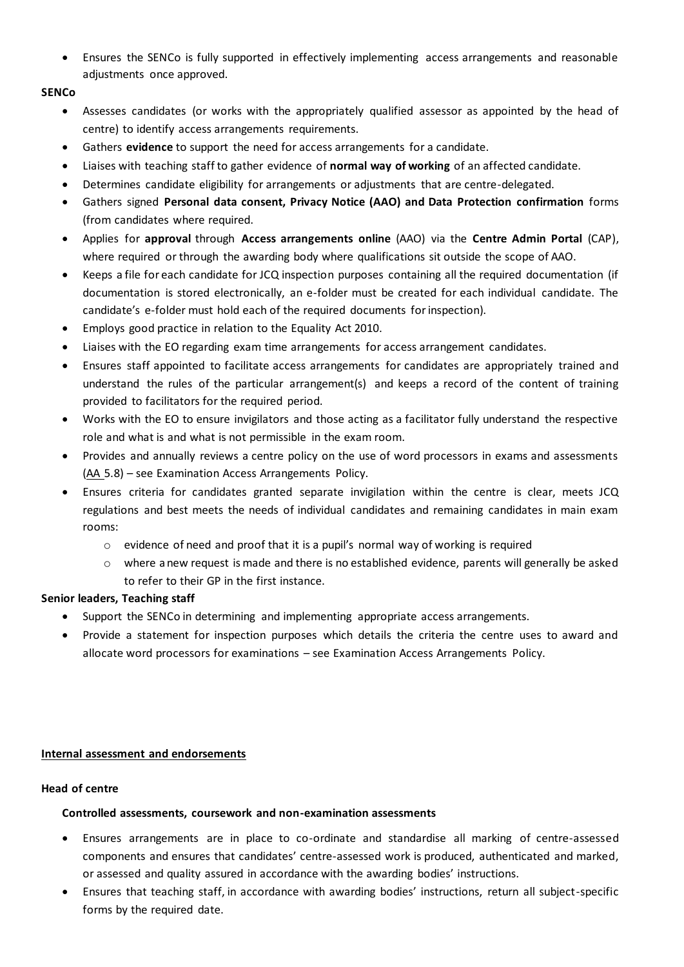• Ensures the SENCo is fully supported in effectively implementing access arrangements and reasonable adjustments once approved.

## **SENCo**

- Assesses candidates (or works with the appropriately qualified assessor as appointed by the head of centre) to identify access arrangements requirements.
- Gathers **evidence** to support the need for access arrangements for a candidate.
- Liaises with teaching staff to gather evidence of **normal way of working** of an affected candidate.
- Determines candidate eligibility for arrangements or adjustments that are centre-delegated.
- Gathers signed **Personal data consent, Privacy Notice (AAO) and Data Protection confirmation** forms (from candidates where required.
- Applies for **approval** through **Access arrangements online** (AAO) via the **Centre Admin Portal** (CAP), where required or through the awarding body where qualifications sit outside the scope of AAO.
- Keeps a file for each candidate for JCQ inspection purposes containing all the required documentation (if documentation is stored electronically, an e-folder must be created for each individual candidate. The candidate's e-folder must hold each of the required documents for inspection).
- Employs good practice in relation to the Equality Act 2010.
- Liaises with the EO regarding exam time arrangements for access arrangement candidates.
- Ensures staff appointed to facilitate access arrangements for candidates are appropriately trained and understand the rules of the particular arrangement(s) and keeps a record of the content of training provided to facilitators for the required period.
- Works with the EO to ensure invigilators and those acting as a facilitator fully understand the respective role and what is and what is not permissible in the exam room.
- Provides and annually reviews a centre policy on the use of word processors in exams and assessments [\(AA](http://www.jcq.org.uk/exams-office/access-arrangements-and-special-consideration) 5.8) – see Examination Access Arrangements Policy.
- Ensures criteria for candidates granted separate invigilation within the centre is clear, meets JCQ regulations and best meets the needs of individual candidates and remaining candidates in main exam rooms:
	- o evidence of need and proof that it is a pupil's normal way of working is required
	- $\circ$  where a new request is made and there is no established evidence, parents will generally be asked to refer to their GP in the first instance.

## **Senior leaders, Teaching staff**

- Support the SENCo in determining and implementing appropriate access arrangements.
- <span id="page-9-0"></span>• Provide a statement for inspection purposes which details the criteria the centre uses to award and allocate word processors for examinations – see Examination Access Arrangements Policy.

## **Internal assessment and endorsements**

## <span id="page-9-1"></span>**Head of centre**

## **Controlled assessments, coursework and non-examination assessments**

- Ensures arrangements are in place to co-ordinate and standardise all marking of centre-assessed components and ensures that candidates' centre-assessed work is produced, authenticated and marked, or assessed and quality assured in accordance with the awarding bodies' instructions.
- Ensures that teaching staff, in accordance with awarding bodies' instructions, return all subject-specific forms by the required date.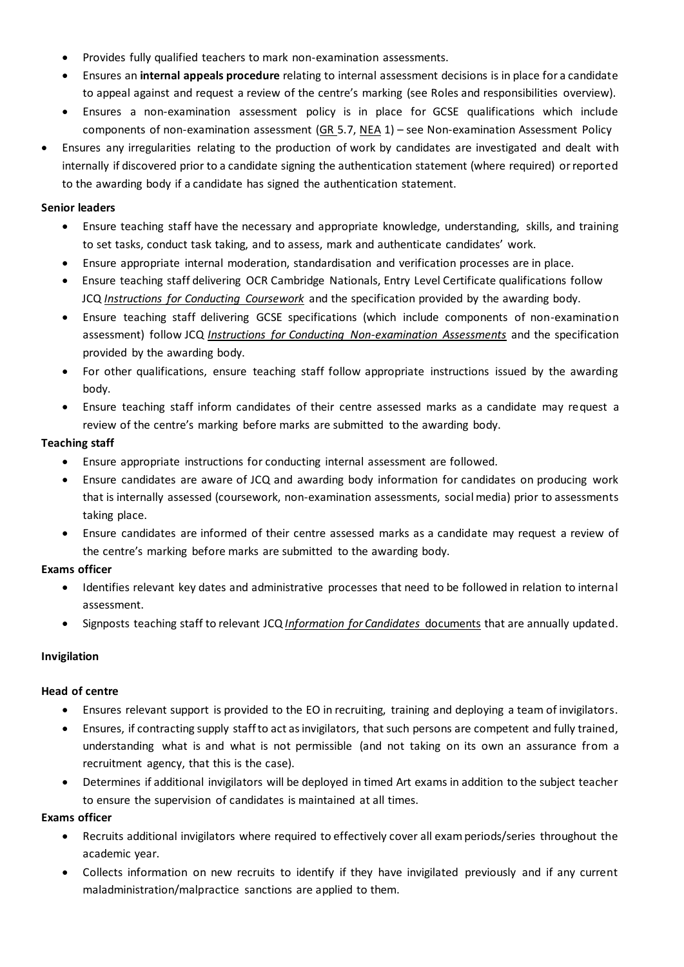- Provides fully qualified teachers to mark non-examination assessments.
- Ensures an **internal appeals procedure** relating to internal assessment decisions is in place for a candidate to appeal against and request a review of the centre's marking (see Roles and responsibilities overview).
- Ensures a non-examination assessment policy is in place for GCSE qualifications which include components of non-examination assessment [\(GR](http://www.jcq.org.uk/exams-office/general-regulations) 5.7, [NEA](https://www.jcq.org.uk/exams-office/non-examination-assessments) 1) – see Non-examination Assessment Policy
- Ensures any irregularities relating to the production of work by candidates are investigated and dealt with internally if discovered prior to a candidate signing the authentication statement (where required) or reported to the awarding body if a candidate has signed the authentication statement.

## **Senior leaders**

- Ensure teaching staff have the necessary and appropriate knowledge, understanding, skills, and training to set tasks, conduct task taking, and to assess, mark and authenticate candidates' work.
- Ensure appropriate internal moderation, standardisation and verification processes are in place.
- Ensure teaching staff delivering OCR Cambridge Nationals, Entry Level Certificate qualifications follow JCQ *[Instructions for Conducting Coursework](http://www.jcq.org.uk/exams-office/coursework)* and the specification provided by the awarding body.
- Ensure teaching staff delivering GCSE specifications (which include components of non-examination assessment) follow JCQ *[Instructions for Conducting Non-examination Assessments](http://www.jcq.org.uk/exams-office/non-examination-assessments)* and the specification provided by the awarding body.
- For other qualifications, ensure teaching staff follow appropriate instructions issued by the awarding body.
- Ensure teaching staff inform candidates of their centre assessed marks as a candidate may request a review of the centre's marking before marks are submitted to the awarding body.

## **Teaching staff**

- Ensure appropriate instructions for conducting internal assessment are followed.
- Ensure candidates are aware of JCQ and awarding body information for candidates on producing work that is internally assessed (coursework, non-examination assessments, social media) prior to assessments taking place.
- Ensure candidates are informed of their centre assessed marks as a candidate may request a review of the centre's marking before marks are submitted to the awarding body.

## **Exams officer**

- Identifies relevant key dates and administrative processes that need to be followed in relation to internal assessment.
- Signposts teaching staff to relevant JCQ *[Information for Candidates](https://www.jcq.org.uk/exams-office/information-for-candidates-documents/)* documents that are annually updated.

## <span id="page-10-0"></span>**Invigilation**

## **Head of centre**

- Ensures relevant support is provided to the EO in recruiting, training and deploying a team of invigilators.
- Ensures, if contracting supply staff to act as invigilators, that such persons are competent and fully trained, understanding what is and what is not permissible (and not taking on its own an assurance from a recruitment agency, that this is the case).
- Determines if additional invigilators will be deployed in timed Art exams in addition to the subject teacher to ensure the supervision of candidates is maintained at all times.

- Recruits additional invigilators where required to effectively cover all exam periods/series throughout the academic year.
- Collects information on new recruits to identify if they have invigilated previously and if any current maladministration/malpractice sanctions are applied to them.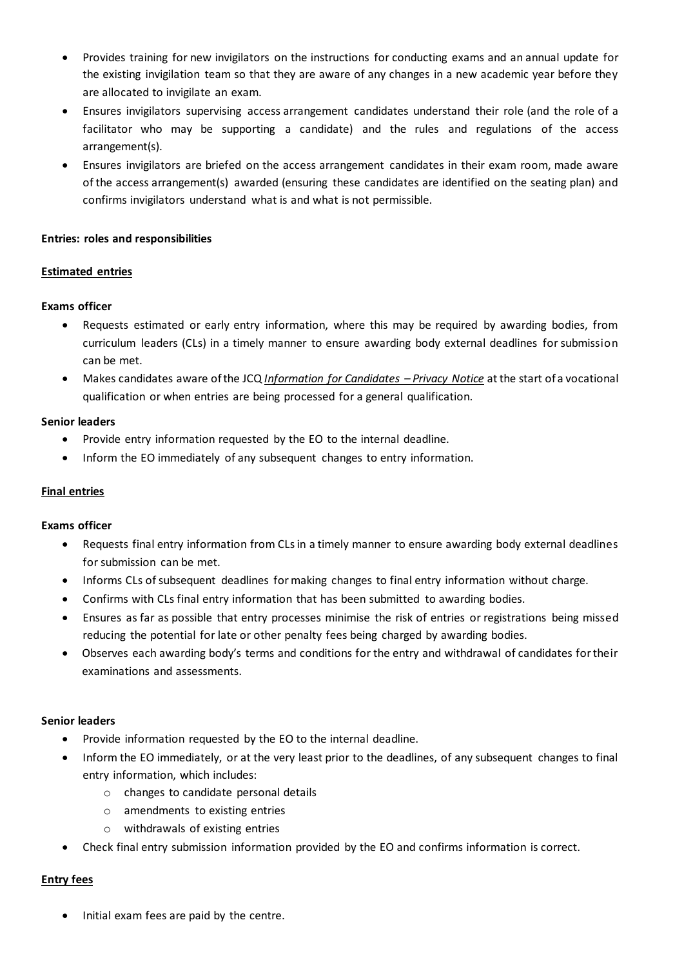- Provides training for new invigilators on the instructions for conducting exams and an annual update for the existing invigilation team so that they are aware of any changes in a new academic year before they are allocated to invigilate an exam.
- Ensures invigilators supervising access arrangement candidates understand their role (and the role of a facilitator who may be supporting a candidate) and the rules and regulations of the access arrangement(s).
- Ensures invigilators are briefed on the access arrangement candidates in their exam room, made aware of the access arrangement(s) awarded (ensuring these candidates are identified on the seating plan) and confirms invigilators understand what is and what is not permissible.

## <span id="page-11-0"></span>**Entries: roles and responsibilities**

## <span id="page-11-1"></span>**Estimated entries**

## **Exams officer**

- Requests estimated or early entry information, where this may be required by awarding bodies, from curriculum leaders (CLs) in a timely manner to ensure awarding body external deadlines for submission can be met.
- Makes candidates aware of the JCQ *Information for Candidates – Privacy Notice* at the start of a vocational qualification or when entries are being processed for a general qualification.

## **Senior leaders**

- Provide entry information requested by the EO to the internal deadline.
- Inform the EO immediately of any subsequent changes to entry information.

## <span id="page-11-2"></span>**Final entries**

## **Exams officer**

- Requests final entry information from CLs in a timely manner to ensure awarding body external deadlines for submission can be met.
- Informs CLs of subsequent deadlines for making changes to final entry information without charge.
- Confirms with CLs final entry information that has been submitted to awarding bodies.
- Ensures as far as possible that entry processes minimise the risk of entries or registrations being missed reducing the potential for late or other penalty fees being charged by awarding bodies.
- Observes each awarding body's terms and conditions for the entry and withdrawal of candidates for their examinations and assessments.

## **Senior leaders**

- Provide information requested by the EO to the internal deadline.
- Inform the EO immediately, or at the very least prior to the deadlines, of any subsequent changes to final entry information, which includes:
	- o changes to candidate personal details
	- o amendments to existing entries
	- o withdrawals of existing entries
- Check final entry submission information provided by the EO and confirms information is correct.

## <span id="page-11-3"></span>**Entry fees**

• Initial exam fees are paid by the centre.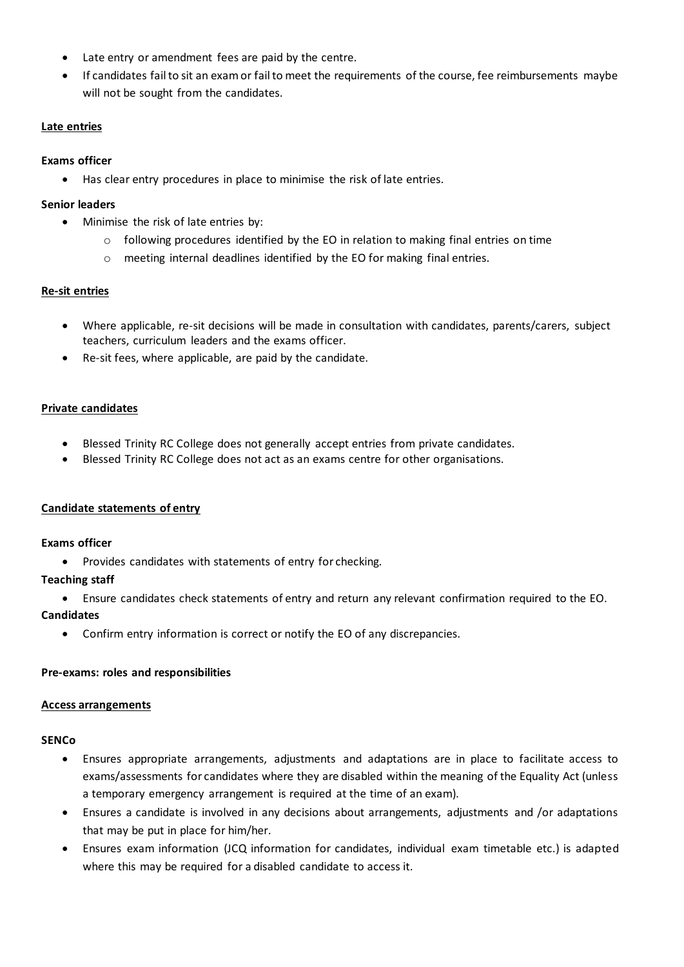- Late entry or amendment fees are paid by the centre.
- If candidates fail to sit an exam or fail to meet the requirements of the course, fee reimbursements maybe will not be sought from the candidates.

### <span id="page-12-0"></span>**Late entries**

### **Exams officer**

Has clear entry procedures in place to minimise the risk of late entries.

#### **Senior leaders**

- Minimise the risk of late entries by:
	- $\circ$  following procedures identified by the EO in relation to making final entries on time
	- o meeting internal deadlines identified by the EO for making final entries.

## <span id="page-12-1"></span>**Re-sit entries**

- Where applicable, re-sit decisions will be made in consultation with candidates, parents/carers, subject teachers, curriculum leaders and the exams officer.
- Re-sit fees, where applicable, are paid by the candidate.

#### <span id="page-12-2"></span>**Private candidates**

- Blessed Trinity RC College does not generally accept entries from private candidates.
- Blessed Trinity RC College does not act as an exams centre for other organisations.

## <span id="page-12-3"></span>**Candidate statements of entry**

#### **Exams officer**

• Provides candidates with statements of entry for checking.

## **Teaching staff**

• Ensure candidates check statements of entry and return any relevant confirmation required to the EO.

## **Candidates**

• Confirm entry information is correct or notify the EO of any discrepancies.

## <span id="page-12-4"></span>**Pre-exams: roles and responsibilities**

## <span id="page-12-5"></span>**Access arrangements**

## **SENCo**

- Ensures appropriate arrangements, adjustments and adaptations are in place to facilitate access to exams/assessments for candidates where they are disabled within the meaning of the Equality Act (unless a temporary emergency arrangement is required at the time of an exam).
- Ensures a candidate is involved in any decisions about arrangements, adjustments and /or adaptations that may be put in place for him/her.
- Ensures exam information (JCQ information for candidates, individual exam timetable etc.) is adapted where this may be required for a disabled candidate to access it.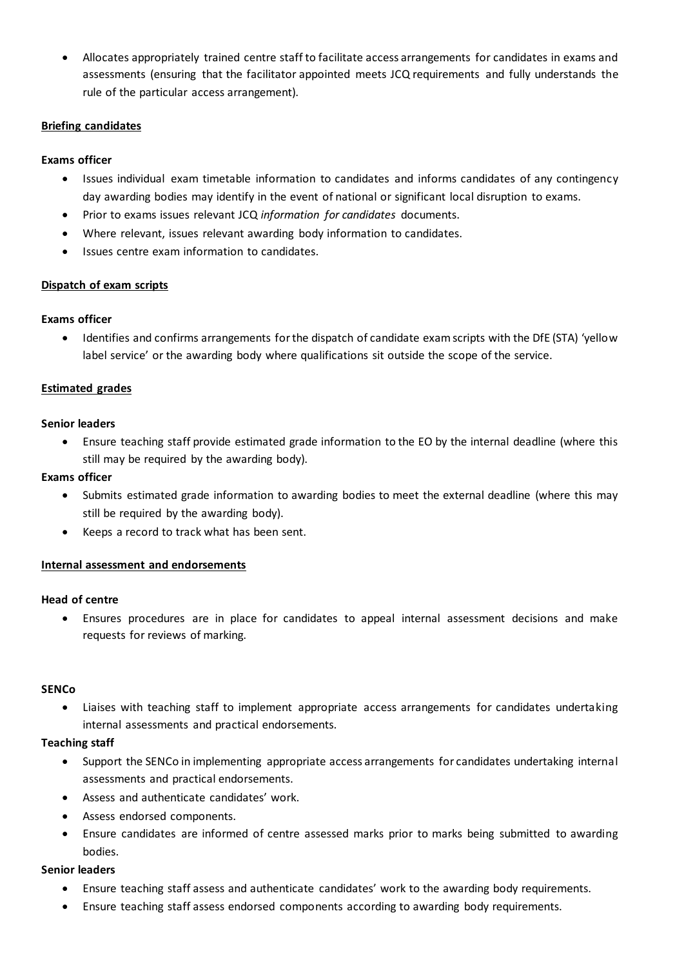• Allocates appropriately trained centre staff to facilitate access arrangements for candidates in exams and assessments (ensuring that the facilitator appointed meets JCQ requirements and fully understands the rule of the particular access arrangement).

## <span id="page-13-0"></span>**Briefing candidates**

## **Exams officer**

- Issues individual exam timetable information to candidates and informs candidates of any contingency day awarding bodies may identify in the event of national or significant local disruption to exams.
- Prior to exams issues relevant JCQ *information for candidates* documents.
- Where relevant, issues relevant awarding body information to candidates.
- Issues centre exam information to candidates.

## <span id="page-13-1"></span>**Dispatch of exam scripts**

## **Exams officer**

• Identifies and confirms arrangements for the dispatch of candidate exam scripts with the DfE (STA) 'yellow label service' or the awarding body where qualifications sit outside the scope of the service.

## <span id="page-13-2"></span>**Estimated grades**

## **Senior leaders**

• Ensure teaching staff provide estimated grade information to the EO by the internal deadline (where this still may be required by the awarding body).

## **Exams officer**

- Submits estimated grade information to awarding bodies to meet the external deadline (where this may still be required by the awarding body).
- Keeps a record to track what has been sent.

## <span id="page-13-3"></span>**Internal assessment and endorsements**

## **Head of centre**

• Ensures procedures are in place for candidates to appeal internal assessment decisions and make requests for reviews of marking.

## **SENCo**

• Liaises with teaching staff to implement appropriate access arrangements for candidates undertaking internal assessments and practical endorsements.

## **Teaching staff**

- Support the SENCo in implementing appropriate access arrangements for candidates undertaking internal assessments and practical endorsements.
- Assess and authenticate candidates' work.
- Assess endorsed components.
- Ensure candidates are informed of centre assessed marks prior to marks being submitted to awarding bodies.

## **Senior leaders**

- Ensure teaching staff assess and authenticate candidates' work to the awarding body requirements.
- Ensure teaching staff assess endorsed components according to awarding body requirements.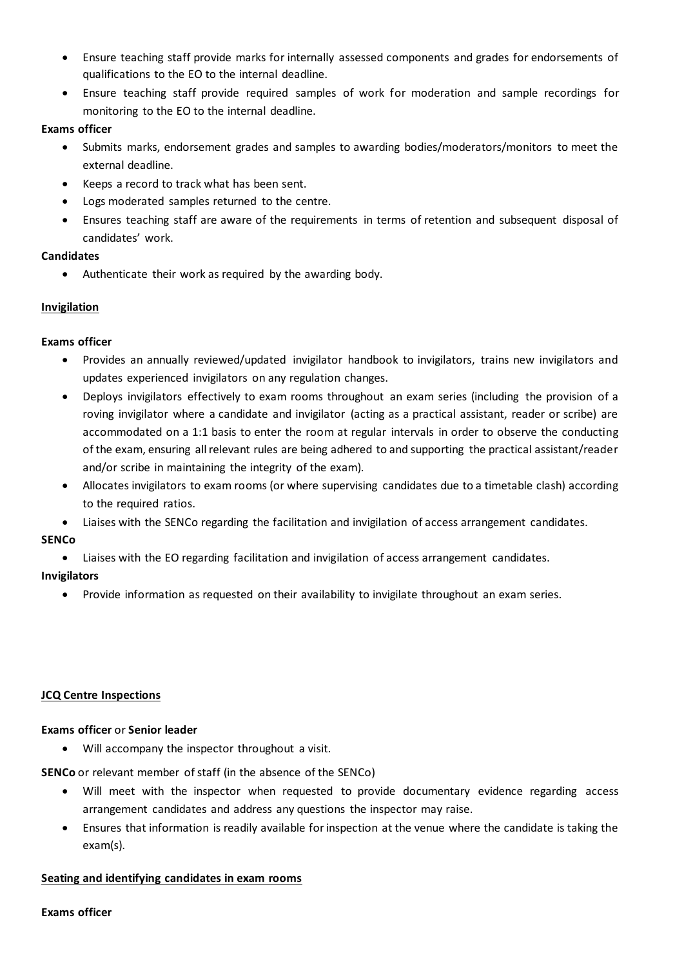- Ensure teaching staff provide marks for internally assessed components and grades for endorsements of qualifications to the EO to the internal deadline.
- Ensure teaching staff provide required samples of work for moderation and sample recordings for monitoring to the EO to the internal deadline.

## **Exams officer**

- Submits marks, endorsement grades and samples to awarding bodies/moderators/monitors to meet the external deadline.
- Keeps a record to track what has been sent.
- Logs moderated samples returned to the centre.
- Ensures teaching staff are aware of the requirements in terms of retention and subsequent disposal of candidates' work.

## **Candidates**

• Authenticate their work as required by the awarding body.

## <span id="page-14-0"></span>**Invigilation**

## **Exams officer**

- Provides an annually reviewed/updated invigilator handbook to invigilators, trains new invigilators and updates experienced invigilators on any regulation changes.
- Deploys invigilators effectively to exam rooms throughout an exam series (including the provision of a roving invigilator where a candidate and invigilator (acting as a practical assistant, reader or scribe) are accommodated on a 1:1 basis to enter the room at regular intervals in order to observe the conducting of the exam, ensuring all relevant rules are being adhered to and supporting the practical assistant/reader and/or scribe in maintaining the integrity of the exam).
- Allocates invigilators to exam rooms (or where supervising candidates due to a timetable clash) according to the required ratios.
- Liaises with the SENCo regarding the facilitation and invigilation of access arrangement candidates.

## **SENCo**

• Liaises with the EO regarding facilitation and invigilation of access arrangement candidates.

## **Invigilators**

<span id="page-14-1"></span>• Provide information as requested on their availability to invigilate throughout an exam series.

## **JCQ Centre Inspections**

## **Exams officer** or **Senior leader**

• Will accompany the inspector throughout a visit.

**SENCo** or relevant member of staff (in the absence of the SENCo)

- Will meet with the inspector when requested to provide documentary evidence regarding access arrangement candidates and address any questions the inspector may raise.
- Ensures that information is readily available for inspection at the venue where the candidate is taking the exam(s).

## <span id="page-14-2"></span>**Seating and identifying candidates in exam rooms**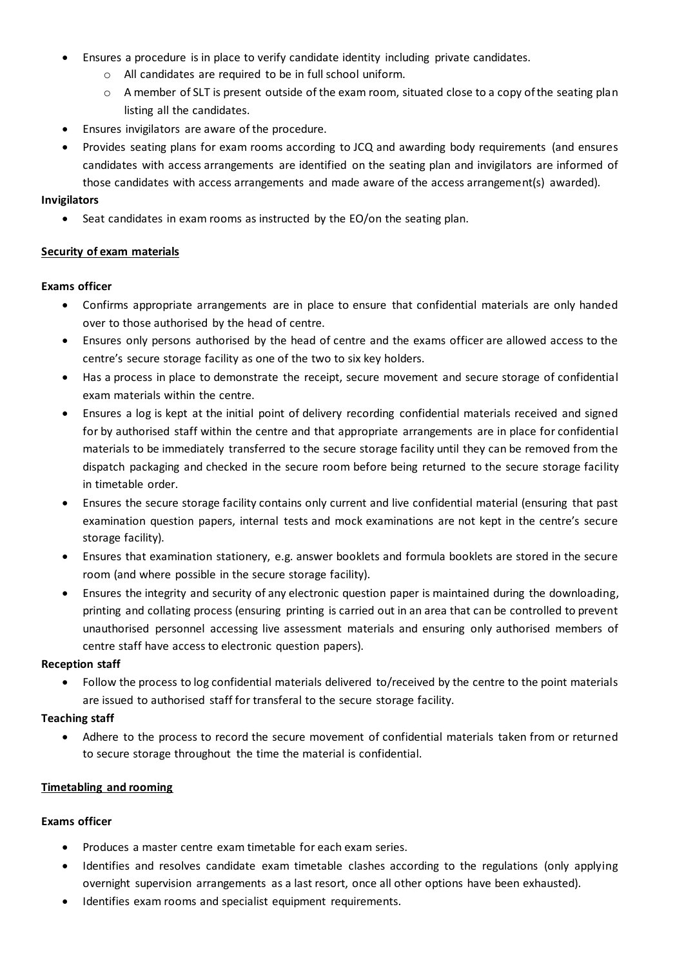- Ensures a procedure is in place to verify candidate identity including private candidates.
	- o All candidates are required to be in full school uniform.
	- $\circ$  A member of SLT is present outside of the exam room, situated close to a copy of the seating plan listing all the candidates.
- Ensures invigilators are aware of the procedure.
- Provides seating plans for exam rooms according to JCQ and awarding body requirements (and ensures candidates with access arrangements are identified on the seating plan and invigilators are informed of those candidates with access arrangements and made aware of the access arrangement(s) awarded).

#### **Invigilators**

Seat candidates in exam rooms as instructed by the EO/on the seating plan.

## <span id="page-15-0"></span>**Security of exam materials**

#### **Exams officer**

- Confirms appropriate arrangements are in place to ensure that confidential materials are only handed over to those authorised by the head of centre.
- Ensures only persons authorised by the head of centre and the exams officer are allowed access to the centre's secure storage facility as one of the two to six key holders.
- Has a process in place to demonstrate the receipt, secure movement and secure storage of confidential exam materials within the centre.
- Ensures a log is kept at the initial point of delivery recording confidential materials received and signed for by authorised staff within the centre and that appropriate arrangements are in place for confidential materials to be immediately transferred to the secure storage facility until they can be removed from the dispatch packaging and checked in the secure room before being returned to the secure storage facility in timetable order.
- Ensures the secure storage facility contains only current and live confidential material (ensuring that past examination question papers, internal tests and mock examinations are not kept in the centre's secure storage facility).
- Ensures that examination stationery, e.g. answer booklets and formula booklets are stored in the secure room (and where possible in the secure storage facility).
- Ensures the integrity and security of any electronic question paper is maintained during the downloading, printing and collating process (ensuring printing is carried out in an area that can be controlled to prevent unauthorised personnel accessing live assessment materials and ensuring only authorised members of centre staff have access to electronic question papers).

#### **Reception staff**

• Follow the process to log confidential materials delivered to/received by the centre to the point materials are issued to authorised staff for transferal to the secure storage facility.

## **Teaching staff**

• Adhere to the process to record the secure movement of confidential materials taken from or returned to secure storage throughout the time the material is confidential.

## <span id="page-15-1"></span>**Timetabling and rooming**

- Produces a master centre exam timetable for each exam series.
- Identifies and resolves candidate exam timetable clashes according to the regulations (only applying overnight supervision arrangements as a last resort, once all other options have been exhausted).
- Identifies exam rooms and specialist equipment requirements.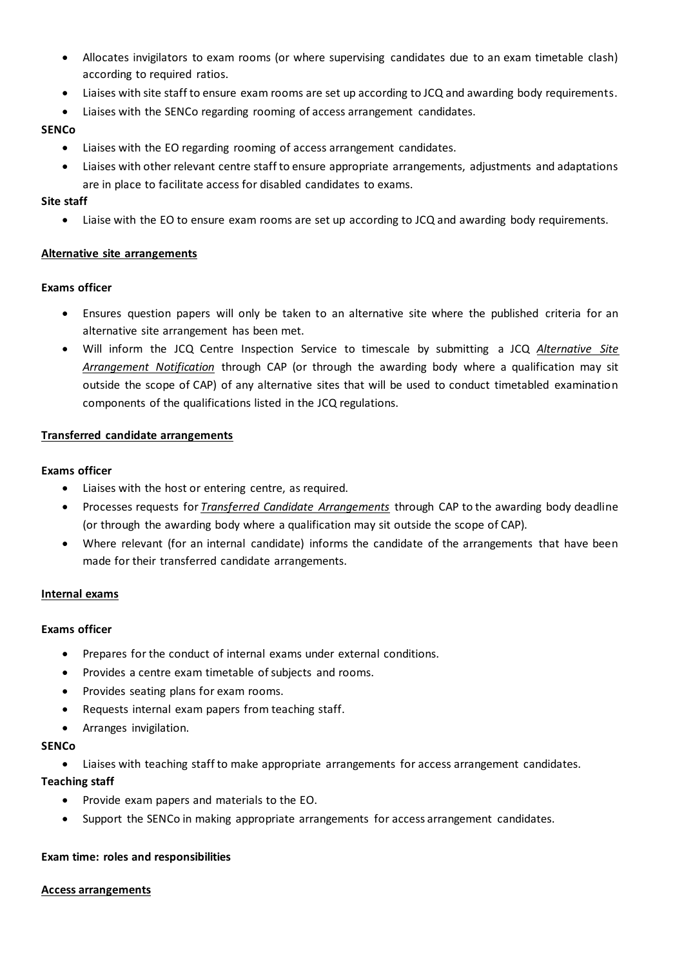- Allocates invigilators to exam rooms (or where supervising candidates due to an exam timetable clash) according to required ratios.
- Liaises with site staff to ensure exam rooms are set up according to JCQ and awarding body requirements.
- Liaises with the SENCo regarding rooming of access arrangement candidates.

## **SENCo**

- Liaises with the EO regarding rooming of access arrangement candidates.
- Liaises with other relevant centre staff to ensure appropriate arrangements, adjustments and adaptations are in place to facilitate access for disabled candidates to exams.

## **Site staff**

• Liaise with the EO to ensure exam rooms are set up according to JCQ and awarding body requirements.

## <span id="page-16-0"></span>**Alternative site arrangements**

## **Exams officer**

- Ensures question papers will only be taken to an alternative site where the published criteria for an alternative site arrangement has been met.
- Will inform the JCQ Centre Inspection Service to timescale by submitting a JCQ *Alternative Site Arrangement Notification* through CAP (or through the awarding body where a qualification may sit outside the scope of CAP) of any alternative sites that will be used to conduct timetabled examination components of the qualifications listed in the JCQ regulations.

## <span id="page-16-1"></span>**Transferred candidate arrangements**

## **Exams officer**

- Liaises with the host or entering centre, as required.
- Processes requests for *Transferred Candidate Arrangements* through CAP to the awarding body deadline (or through the awarding body where a qualification may sit outside the scope of CAP).
- Where relevant (for an internal candidate) informs the candidate of the arrangements that have been made for their transferred candidate arrangements.

## <span id="page-16-2"></span>**Internal exams**

## **Exams officer**

- Prepares for the conduct of internal exams under external conditions.
- Provides a centre exam timetable of subjects and rooms.
- Provides seating plans for exam rooms.
- Requests internal exam papers from teaching staff.
- Arranges invigilation.

## **SENCo**

• Liaises with teaching staff to make appropriate arrangements for access arrangement candidates.

## **Teaching staff**

- Provide exam papers and materials to the EO.
- Support the SENCo in making appropriate arrangements for access arrangement candidates.

## <span id="page-16-3"></span>**Exam time: roles and responsibilities**

## <span id="page-16-4"></span>**Access arrangements**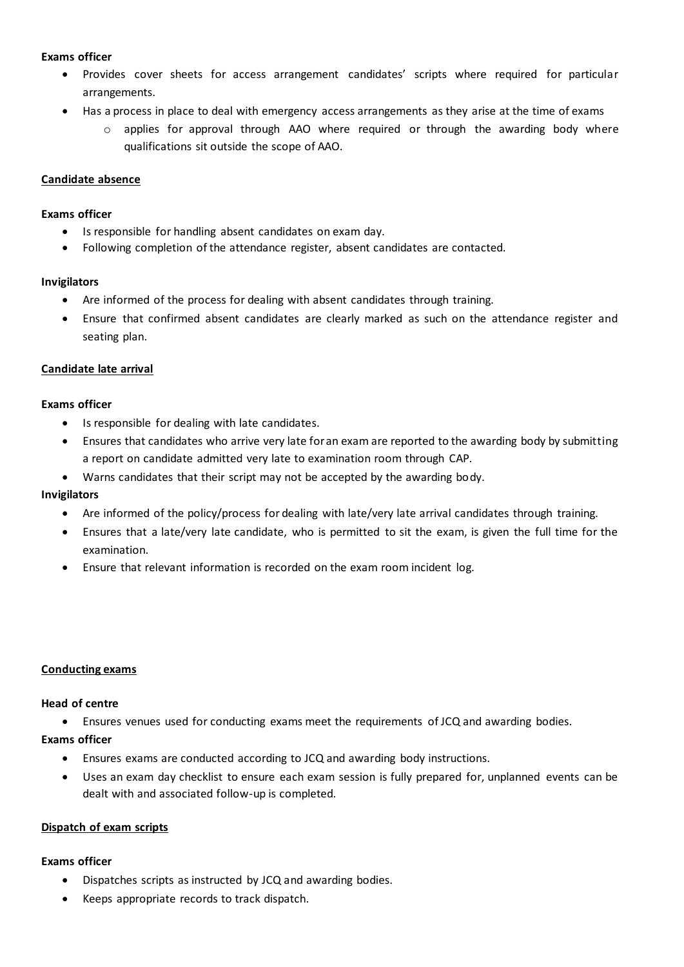## **Exams officer**

- Provides cover sheets for access arrangement candidates' scripts where required for particular arrangements.
- Has a process in place to deal with emergency access arrangements as they arise at the time of exams
	- $\circ$  applies for approval through AAO where required or through the awarding body where qualifications sit outside the scope of AAO.

## <span id="page-17-0"></span>**Candidate absence**

## **Exams officer**

- Is responsible for handling absent candidates on exam day.
- Following completion of the attendance register, absent candidates are contacted.

#### **Invigilators**

- Are informed of the process for dealing with absent candidates through training.
- Ensure that confirmed absent candidates are clearly marked as such on the attendance register and seating plan.

## <span id="page-17-1"></span>**Candidate late arrival**

## **Exams officer**

- Is responsible for dealing with late candidates.
- Ensures that candidates who arrive very late for an exam are reported to the awarding body by submitting a report on candidate admitted very late to examination room through CAP.
- Warns candidates that their script may not be accepted by the awarding body.

## **Invigilators**

- Are informed of the policy/process for dealing with late/very late arrival candidates through training.
- Ensures that a late/very late candidate, who is permitted to sit the exam, is given the full time for the examination.
- <span id="page-17-2"></span>• Ensure that relevant information is recorded on the exam room incident log.

## **Conducting exams**

## **Head of centre**

• Ensures venues used for conducting exams meet the requirements of JCQ and awarding bodies.

## **Exams officer**

- Ensures exams are conducted according to JCQ and awarding body instructions.
- Uses an exam day checklist to ensure each exam session is fully prepared for, unplanned events can be dealt with and associated follow-up is completed.

## <span id="page-17-3"></span>**Dispatch of exam scripts**

- Dispatches scripts as instructed by JCQ and awarding bodies.
- Keeps appropriate records to track dispatch.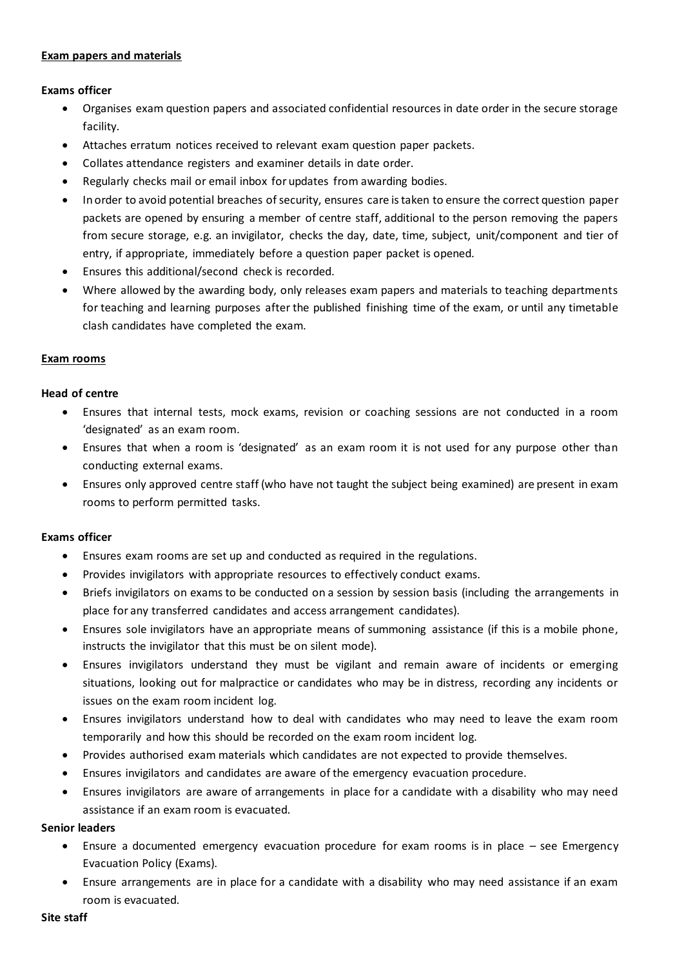#### <span id="page-18-0"></span>**Exam papers and materials**

## **Exams officer**

- Organises exam question papers and associated confidential resources in date order in the secure storage facility.
- Attaches erratum notices received to relevant exam question paper packets.
- Collates attendance registers and examiner details in date order.
- Regularly checks mail or email inbox for updates from awarding bodies.
- In order to avoid potential breaches of security, ensures care is taken to ensure the correct question paper packets are opened by ensuring a member of centre staff, additional to the person removing the papers from secure storage, e.g. an invigilator, checks the day, date, time, subject, unit/component and tier of entry, if appropriate, immediately before a question paper packet is opened.
- Ensures this additional/second check is recorded.
- Where allowed by the awarding body, only releases exam papers and materials to teaching departments for teaching and learning purposes after the published finishing time of the exam, or until any timetable clash candidates have completed the exam.

#### <span id="page-18-1"></span>**Exam rooms**

#### **Head of centre**

- Ensures that internal tests, mock exams, revision or coaching sessions are not conducted in a room 'designated' as an exam room.
- Ensures that when a room is 'designated' as an exam room it is not used for any purpose other than conducting external exams.
- Ensures only approved centre staff (who have not taught the subject being examined) are present in exam rooms to perform permitted tasks.

#### **Exams officer**

- Ensures exam rooms are set up and conducted as required in the regulations.
- Provides invigilators with appropriate resources to effectively conduct exams.
- Briefs invigilators on exams to be conducted on a session by session basis (including the arrangements in place for any transferred candidates and access arrangement candidates).
- Ensures sole invigilators have an appropriate means of summoning assistance (if this is a mobile phone, instructs the invigilator that this must be on silent mode).
- Ensures invigilators understand they must be vigilant and remain aware of incidents or emerging situations, looking out for malpractice or candidates who may be in distress, recording any incidents or issues on the exam room incident log.
- Ensures invigilators understand how to deal with candidates who may need to leave the exam room temporarily and how this should be recorded on the exam room incident log.
- Provides authorised exam materials which candidates are not expected to provide themselves.
- Ensures invigilators and candidates are aware of the emergency evacuation procedure.
- Ensures invigilators are aware of arrangements in place for a candidate with a disability who may need assistance if an exam room is evacuated.

#### **Senior leaders**

- Ensure a documented emergency evacuation procedure for exam rooms is in place see Emergency Evacuation Policy (Exams).
- Ensure arrangements are in place for a candidate with a disability who may need assistance if an exam room is evacuated.

#### **Site staff**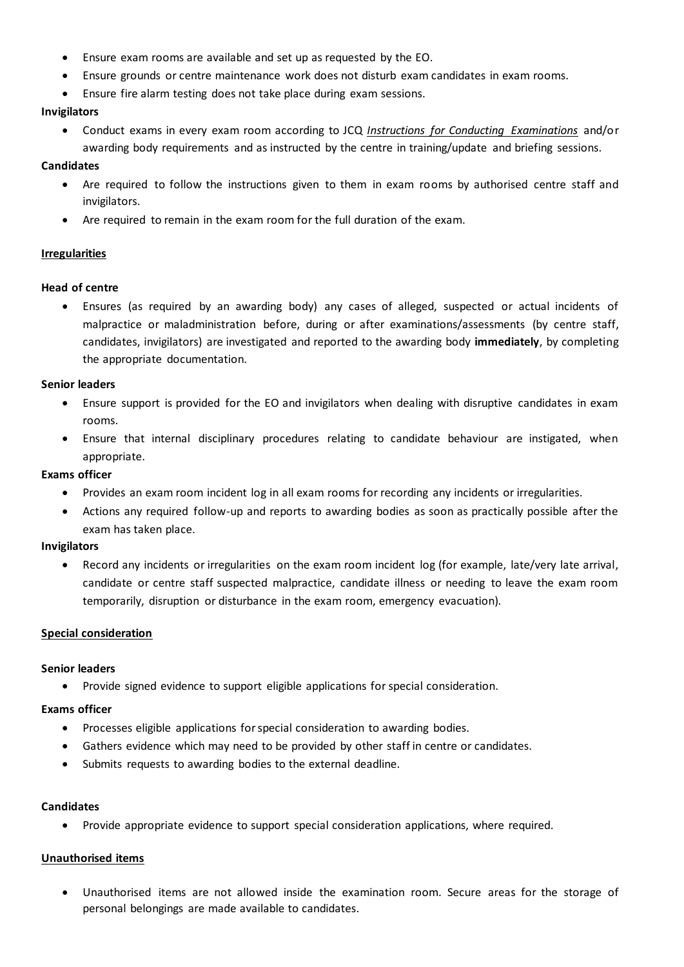- Ensure exam rooms are available and set up as requested by the EO.
- Ensure grounds or centre maintenance work does not disturb exam candidates in exam rooms.
- Ensure fire alarm testing does not take place during exam sessions.

## **Invigilators**

• Conduct exams in every exam room according to JCQ *Instructions for Conducting Examinations* and/or awarding body requirements and as instructed by the centre in training/update and briefing sessions.

### **Candidates**

- Are required to follow the instructions given to them in exam rooms by authorised centre staff and invigilators.
- Are required to remain in the exam room for the full duration of the exam.

#### <span id="page-19-0"></span>**Irregularities**

#### **Head of centre**

• Ensures (as required by an awarding body) any cases of alleged, suspected or actual incidents of malpractice or maladministration before, during or after examinations/assessments (by centre staff, candidates, invigilators) are investigated and reported to the awarding body **immediately**, by completing the appropriate documentation.

#### **Senior leaders**

- Ensure support is provided for the EO and invigilators when dealing with disruptive candidates in exam rooms.
- Ensure that internal disciplinary procedures relating to candidate behaviour are instigated, when appropriate.

#### **Exams officer**

- Provides an exam room incident log in all exam rooms for recording any incidents or irregularities.
- Actions any required follow-up and reports to awarding bodies as soon as practically possible after the exam has taken place.

#### **Invigilators**

• Record any incidents or irregularities on the exam room incident log (for example, late/very late arrival, candidate or centre staff suspected malpractice, candidate illness or needing to leave the exam room temporarily, disruption or disturbance in the exam room, emergency evacuation).

## <span id="page-19-1"></span>**Special consideration**

#### **Senior leaders**

• Provide signed evidence to support eligible applications for special consideration.

## **Exams officer**

- Processes eligible applications for special consideration to awarding bodies.
- Gathers evidence which may need to be provided by other staff in centre or candidates.
- Submits requests to awarding bodies to the external deadline.

#### **Candidates**

• Provide appropriate evidence to support special consideration applications, where required.

## <span id="page-19-2"></span>**Unauthorised items**

• Unauthorised items are not allowed inside the examination room. Secure areas for the storage of personal belongings are made available to candidates.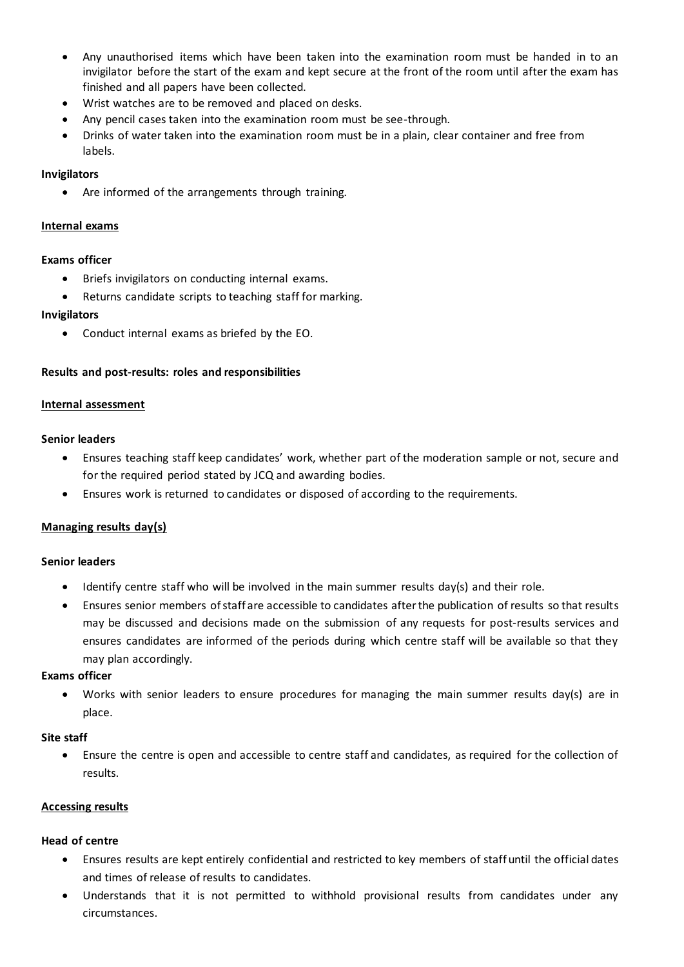- Any unauthorised items which have been taken into the examination room must be handed in to an invigilator before the start of the exam and kept secure at the front of the room until after the exam has finished and all papers have been collected.
- Wrist watches are to be removed and placed on desks.
- Any pencil cases taken into the examination room must be see-through.
- Drinks of water taken into the examination room must be in a plain, clear container and free from labels.

### **Invigilators**

Are informed of the arrangements through training.

### <span id="page-20-0"></span>**Internal exams**

#### **Exams officer**

- Briefs invigilators on conducting internal exams.
- Returns candidate scripts to teaching staff for marking.

#### **Invigilators**

• Conduct internal exams as briefed by the EO.

#### <span id="page-20-1"></span>**Results and post-results: roles and responsibilities**

#### <span id="page-20-2"></span>**Internal assessment**

#### **Senior leaders**

- Ensures teaching staff keep candidates' work, whether part of the moderation sample or not, secure and for the required period stated by JCQ and awarding bodies.
- Ensures work is returned to candidates or disposed of according to the requirements.

## <span id="page-20-3"></span>**Managing results day(s)**

#### **Senior leaders**

- Identify centre staff who will be involved in the main summer results day(s) and their role.
- Ensures senior members of staff are accessible to candidates after the publication of results so that results may be discussed and decisions made on the submission of any requests for post-results services and ensures candidates are informed of the periods during which centre staff will be available so that they may plan accordingly.

#### **Exams officer**

• Works with senior leaders to ensure procedures for managing the main summer results day(s) are in place.

## **Site staff**

• Ensure the centre is open and accessible to centre staff and candidates, as required for the collection of results.

#### <span id="page-20-4"></span>**Accessing results**

## **Head of centre**

- Ensures results are kept entirely confidential and restricted to key members of staff until the official dates and times of release of results to candidates.
- Understands that it is not permitted to withhold provisional results from candidates under any circumstances.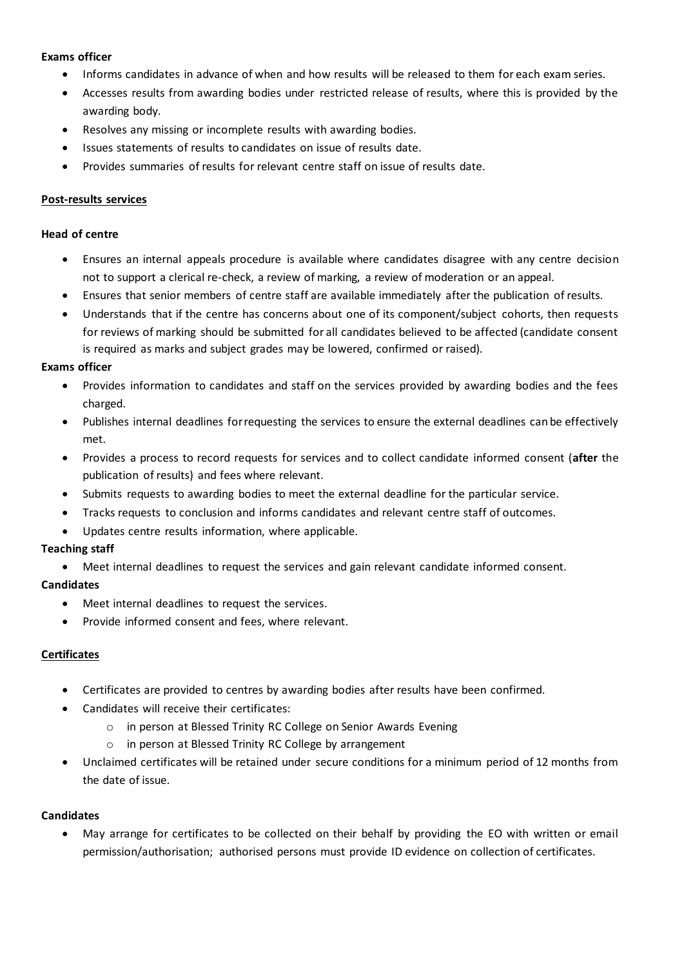## **Exams officer**

- Informs candidates in advance of when and how results will be released to them for each exam series.
- Accesses results from awarding bodies under restricted release of results, where this is provided by the awarding body.
- Resolves any missing or incomplete results with awarding bodies.
- Issues statements of results to candidates on issue of results date.
- Provides summaries of results for relevant centre staff on issue of results date.

## <span id="page-21-0"></span>**Post-results services**

## **Head of centre**

- Ensures an internal appeals procedure is available where candidates disagree with any centre decision not to support a clerical re-check, a review of marking, a review of moderation or an appeal.
- Ensures that senior members of centre staff are available immediately after the publication of results.
- Understands that if the centre has concerns about one of its component/subject cohorts, then requests for reviews of marking should be submitted for all candidates believed to be affected (candidate consent is required as marks and subject grades may be lowered, confirmed or raised).

## **Exams officer**

- Provides information to candidates and staff on the services provided by awarding bodies and the fees charged.
- Publishes internal deadlines for requesting the services to ensure the external deadlines can be effectively met.
- Provides a process to record requests for services and to collect candidate informed consent (**after** the publication of results) and fees where relevant.
- Submits requests to awarding bodies to meet the external deadline for the particular service.
- Tracks requests to conclusion and informs candidates and relevant centre staff of outcomes.
- Updates centre results information, where applicable.

## **Teaching staff**

• Meet internal deadlines to request the services and gain relevant candidate informed consent.

## **Candidates**

- Meet internal deadlines to request the services.
- Provide informed consent and fees, where relevant.

## <span id="page-21-1"></span>**Certificates**

- Certificates are provided to centres by awarding bodies after results have been confirmed.
- Candidates will receive their certificates:
	- o in person at Blessed Trinity RC College on Senior Awards Evening
	- o in person at Blessed Trinity RC College by arrangement
- Unclaimed certificates will be retained under secure conditions for a minimum period of 12 months from the date of issue.

## **Candidates**

• May arrange for certificates to be collected on their behalf by providing the EO with written or email permission/authorisation; authorised persons must provide ID evidence on collection of certificates.